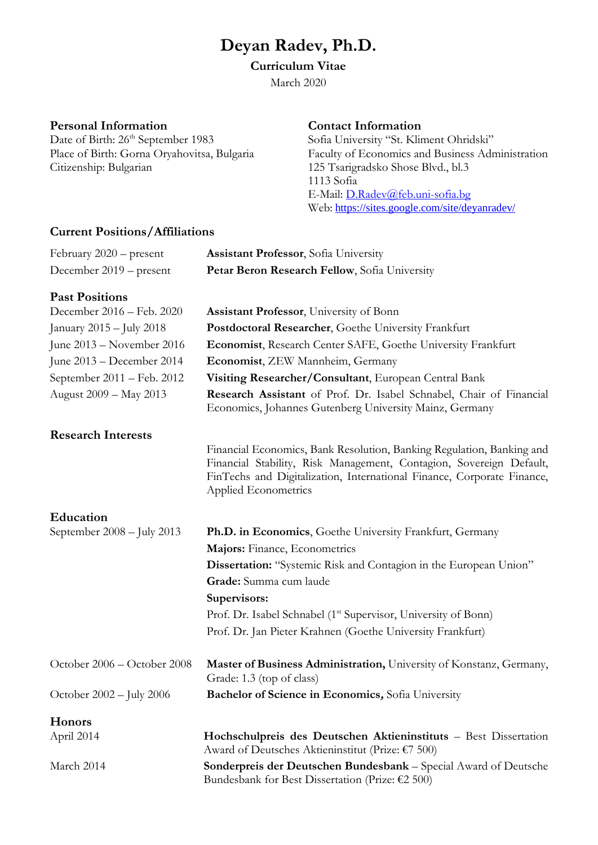# **Deyan Radev, Ph.D.**

## **Curriculum Vitae**

March 2020

## **Personal Information**

Date of Birth: 26<sup>th</sup> September 1983 Place of Birth: Gorna Oryahovitsa, Bulgaria Citizenship: Bulgarian

#### **Contact Information**

Sofia University "St. Kliment Ohridski" Faculty of Economics and Business Administration 125 Tsarigradsko Shose Blvd., bl.3 1113 Sofia E-Mail: [D.Radev@feb.uni-sofia.bg](mailto:D.Radev@feb.uni-sofia.bg) Web: <https://sites.google.com/site/deyanradev/>

## **Current Positions/Affiliations**

| February 2020 – present     | <b>Assistant Professor</b> , Sofia University                                                                                                                                                                                                  |
|-----------------------------|------------------------------------------------------------------------------------------------------------------------------------------------------------------------------------------------------------------------------------------------|
| December 2019 – present     | Petar Beron Research Fellow, Sofia University                                                                                                                                                                                                  |
| <b>Past Positions</b>       |                                                                                                                                                                                                                                                |
| December 2016 - Feb. 2020   | <b>Assistant Professor</b> , University of Bonn                                                                                                                                                                                                |
| January 2015 - July 2018    | Postdoctoral Researcher, Goethe University Frankfurt                                                                                                                                                                                           |
| June 2013 – November 2016   | Economist, Research Center SAFE, Goethe University Frankfurt                                                                                                                                                                                   |
| June 2013 – December 2014   | Economist, ZEW Mannheim, Germany                                                                                                                                                                                                               |
| September 2011 – Feb. 2012  | Visiting Researcher/Consultant, European Central Bank                                                                                                                                                                                          |
| August 2009 - May 2013      | Research Assistant of Prof. Dr. Isabel Schnabel, Chair of Financial<br>Economics, Johannes Gutenberg University Mainz, Germany                                                                                                                 |
| <b>Research Interests</b>   |                                                                                                                                                                                                                                                |
|                             | Financial Economics, Bank Resolution, Banking Regulation, Banking and<br>Financial Stability, Risk Management, Contagion, Sovereign Default,<br>FinTechs and Digitalization, International Finance, Corporate Finance,<br>Applied Econometrics |
| Education                   |                                                                                                                                                                                                                                                |
| September 2008 - July 2013  | Ph.D. in Economics, Goethe University Frankfurt, Germany                                                                                                                                                                                       |
|                             | Majors: Finance, Econometrics                                                                                                                                                                                                                  |
|                             | Dissertation: "Systemic Risk and Contagion in the European Union"                                                                                                                                                                              |
|                             | Grade: Summa cum laude                                                                                                                                                                                                                         |
|                             | Supervisors:                                                                                                                                                                                                                                   |
|                             | Prof. Dr. Isabel Schnabel (1 <sup>st</sup> Supervisor, University of Bonn)                                                                                                                                                                     |
|                             | Prof. Dr. Jan Pieter Krahnen (Goethe University Frankfurt)                                                                                                                                                                                     |
| October 2006 - October 2008 | Master of Business Administration, University of Konstanz, Germany,<br>Grade: 1.3 (top of class)                                                                                                                                               |
| October 2002 - July 2006    | Bachelor of Science in Economics, Sofia University                                                                                                                                                                                             |
| Honors                      |                                                                                                                                                                                                                                                |
| April 2014                  | Hochschulpreis des Deutschen Aktieninstituts - Best Dissertation<br>Award of Deutsches Aktieninstitut (Prize: €7 500)                                                                                                                          |
| March 2014                  | Sonderpreis der Deutschen Bundesbank - Special Award of Deutsche<br>Bundesbank for Best Dissertation (Prize: $£2$ 500)                                                                                                                         |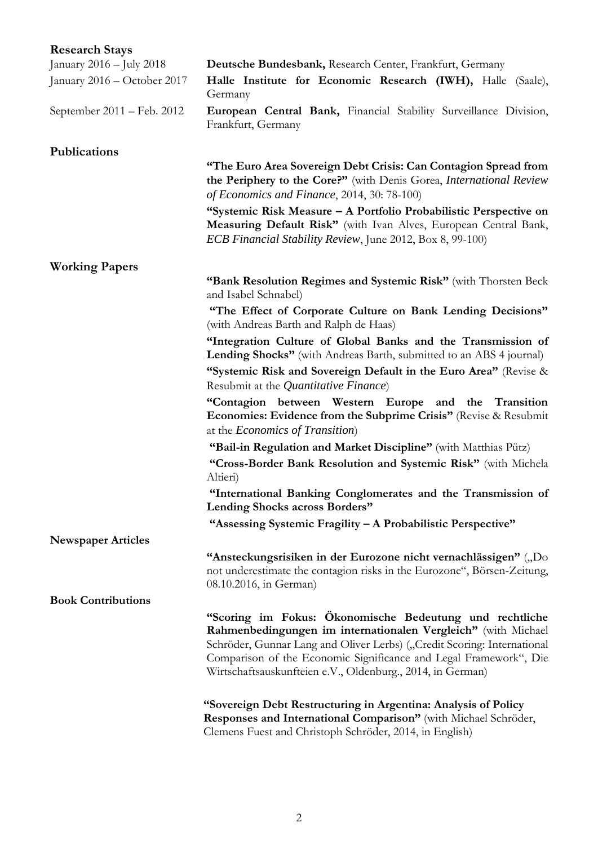| <b>Research Stays</b>       |                                                                                                                                                                                                                                                                                                                                        |
|-----------------------------|----------------------------------------------------------------------------------------------------------------------------------------------------------------------------------------------------------------------------------------------------------------------------------------------------------------------------------------|
| January 2016 – July 2018    | Deutsche Bundesbank, Research Center, Frankfurt, Germany                                                                                                                                                                                                                                                                               |
| January 2016 – October 2017 | Halle Institute for Economic Research (IWH), Halle (Saale),<br>Germany                                                                                                                                                                                                                                                                 |
| September 2011 – Feb. 2012  | European Central Bank, Financial Stability Surveillance Division,<br>Frankfurt, Germany                                                                                                                                                                                                                                                |
| Publications                |                                                                                                                                                                                                                                                                                                                                        |
|                             | "The Euro Area Sovereign Debt Crisis: Can Contagion Spread from<br>the Periphery to the Core?" (with Denis Gorea, International Review<br>of Economics and Finance, 2014, 30: 78-100)                                                                                                                                                  |
|                             | "Systemic Risk Measure – A Portfolio Probabilistic Perspective on<br>Measuring Default Risk" (with Ivan Alves, European Central Bank,<br><i>ECB Financial Stability Review</i> , June 2012, Box 8, 99-100)                                                                                                                             |
| <b>Working Papers</b>       |                                                                                                                                                                                                                                                                                                                                        |
|                             | "Bank Resolution Regimes and Systemic Risk" (with Thorsten Beck<br>and Isabel Schnabel)                                                                                                                                                                                                                                                |
|                             | "The Effect of Corporate Culture on Bank Lending Decisions"<br>(with Andreas Barth and Ralph de Haas)                                                                                                                                                                                                                                  |
|                             | "Integration Culture of Global Banks and the Transmission of<br><b>Lending Shocks"</b> (with Andreas Barth, submitted to an ABS 4 journal)                                                                                                                                                                                             |
|                             | "Systemic Risk and Sovereign Default in the Euro Area" (Revise &<br>Resubmit at the <i>Quantitative Finance</i> )                                                                                                                                                                                                                      |
|                             | "Contagion between Western Europe and the Transition<br>Economies: Evidence from the Subprime Crisis" (Revise & Resubmit<br>at the <i>Economics of Transition</i> )                                                                                                                                                                    |
|                             | "Bail-in Regulation and Market Discipline" (with Matthias Pütz)                                                                                                                                                                                                                                                                        |
|                             | "Cross-Border Bank Resolution and Systemic Risk" (with Michela<br>Altieri)                                                                                                                                                                                                                                                             |
|                             | "International Banking Conglomerates and the Transmission of<br>Lending Shocks across Borders"                                                                                                                                                                                                                                         |
|                             | "Assessing Systemic Fragility - A Probabilistic Perspective"                                                                                                                                                                                                                                                                           |
| <b>Newspaper Articles</b>   |                                                                                                                                                                                                                                                                                                                                        |
|                             | "Ansteckungsrisiken in der Eurozone nicht vernachlässigen" ("Do<br>not underestimate the contagion risks in the Eurozone", Börsen-Zeitung,<br>08.10.2016, in German)                                                                                                                                                                   |
| <b>Book Contributions</b>   |                                                                                                                                                                                                                                                                                                                                        |
|                             | "Scoring im Fokus: Ökonomische Bedeutung und rechtliche<br>Rahmenbedingungen im internationalen Vergleich" (with Michael<br>Schröder, Gunnar Lang and Oliver Lerbs) ("Credit Scoring: International<br>Comparison of the Economic Significance and Legal Framework", Die<br>Wirtschaftsauskunfteien e.V., Oldenburg., 2014, in German) |
|                             | "Sovereign Debt Restructuring in Argentina: Analysis of Policy<br>Responses and International Comparison" (with Michael Schröder,<br>Clemens Fuest and Christoph Schröder, 2014, in English)                                                                                                                                           |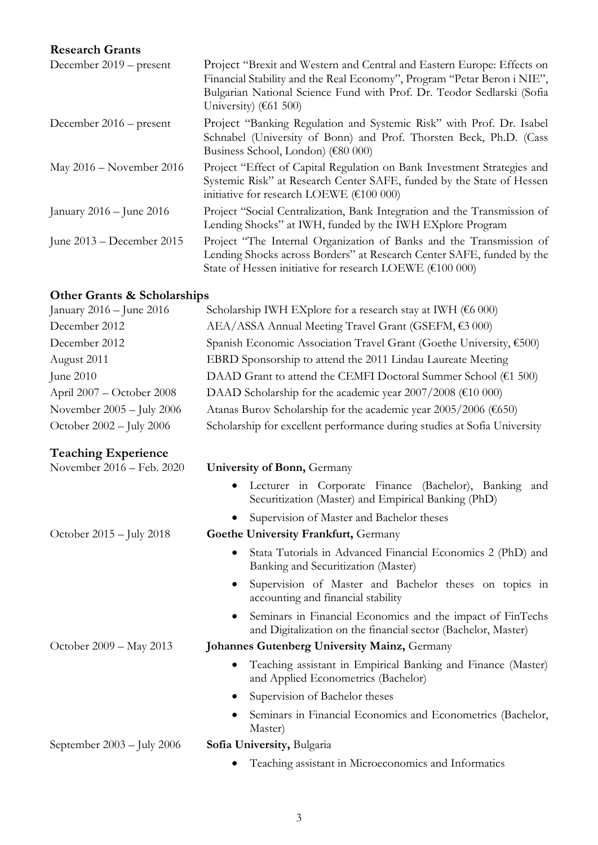## **Research Grants**

| December $2019$ – present    | Project "Brexit and Western and Central and Eastern Europe: Effects on<br>Financial Stability and the Real Economy", Program "Petar Beron i NIE",<br>Bulgarian National Science Fund with Prof. Dr. Teodor Sedlarski (Sofia<br>University) ( $61500$ ) |
|------------------------------|--------------------------------------------------------------------------------------------------------------------------------------------------------------------------------------------------------------------------------------------------------|
| December $2016$ – present    | Project "Banking Regulation and Systemic Risk" with Prof. Dr. Isabel<br>Schnabel (University of Bonn) and Prof. Thorsten Beck, Ph.D. (Cass<br>Business School, London) (€80 000)                                                                       |
| May $2016$ – November 2016   | Project "Effect of Capital Regulation on Bank Investment Strategies and<br>Systemic Risk" at Research Center SAFE, funded by the State of Hessen<br>initiative for research LOEWE ( $\text{\textsterling}100\ 000$ )                                   |
| January $2016 -$ June $2016$ | Project "Social Centralization, Bank Integration and the Transmission of<br>Lending Shocks" at IWH, funded by the IWH EXplore Program                                                                                                                  |
| June $2013$ – December 2015  | Project "The Internal Organization of Banks and the Transmission of<br>Lending Shocks across Borders" at Research Center SAFE, funded by the<br>State of Hessen initiative for research LOEWE (€100 000)                                               |

## **Other Grants & Scholarships**

| January 2016 – June 2016           | Scholarship IWH EXplore for a research stay at IWH ( $6000$ )                                                               |
|------------------------------------|-----------------------------------------------------------------------------------------------------------------------------|
| December 2012                      | AEA/ASSA Annual Meeting Travel Grant (GSEFM, €3 000)                                                                        |
| December 2012                      | Spanish Economic Association Travel Grant (Goethe University, €500)                                                         |
| August 2011                        | EBRD Sponsorship to attend the 2011 Lindau Laureate Meeting                                                                 |
| June 2010                          | DAAD Grant to attend the CEMFI Doctoral Summer School (€1 500)                                                              |
| April 2007 – October 2008          | DAAD Scholarship for the academic year $2007/2008$ (€10 000)                                                                |
| November 2005 - July 2006          | Atanas Burov Scholarship for the academic year 2005/2006 (€650)                                                             |
| October 2002 - July 2006           | Scholarship for excellent performance during studies at Sofia University                                                    |
| <b>Teaching Experience</b>         |                                                                                                                             |
| November 2016 - Feb. 2020          | <b>University of Bonn, Germany</b>                                                                                          |
|                                    | Lecturer in Corporate Finance (Bachelor), Banking and<br>Securitization (Master) and Empirical Banking (PhD)                |
|                                    | Supervision of Master and Bachelor theses                                                                                   |
| October $2015 - \text{July } 2018$ | Goethe University Frankfurt, Germany                                                                                        |
|                                    | Stata Tutorials in Advanced Financial Economics 2 (PhD) and<br>Banking and Securitization (Master)                          |
|                                    | Supervision of Master and Bachelor theses on topics in<br>accounting and financial stability                                |
|                                    | Seminars in Financial Economics and the impact of FinTechs<br>and Digitalization on the financial sector (Bachelor, Master) |
| October 2009 - May 2013            | Johannes Gutenberg University Mainz, Germany                                                                                |
|                                    | Teaching assistant in Empirical Banking and Finance (Master)<br>and Applied Econometrics (Bachelor)                         |
|                                    | Supervision of Bachelor theses                                                                                              |

• Seminars in Financial Economics and Econometrics (Bachelor, Master)

## September 2003 – July 2006 **Sofia University,** Bulgaria

- - Teaching assistant in Microeconomics and Informatics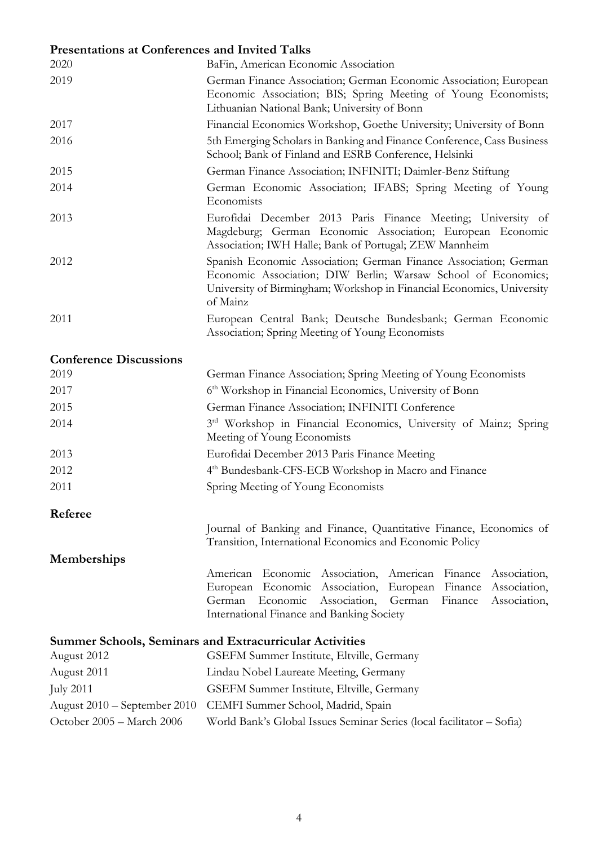# **Presentations at Conferences and Invited Talks**

| 2020                          | BaFin, American Economic Association                                                                                                                                                                                                                                               |
|-------------------------------|------------------------------------------------------------------------------------------------------------------------------------------------------------------------------------------------------------------------------------------------------------------------------------|
| 2019                          | German Finance Association; German Economic Association; European<br>Economic Association; BIS; Spring Meeting of Young Economists;<br>Lithuanian National Bank; University of Bonn                                                                                                |
| 2017                          | Financial Economics Workshop, Goethe University; University of Bonn                                                                                                                                                                                                                |
| 2016                          | 5th Emerging Scholars in Banking and Finance Conference, Cass Business<br>School; Bank of Finland and ESRB Conference, Helsinki                                                                                                                                                    |
| 2015                          | German Finance Association; INFINITI; Daimler-Benz Stiftung                                                                                                                                                                                                                        |
| 2014                          | German Economic Association; IFABS; Spring Meeting of Young<br>Economists                                                                                                                                                                                                          |
| 2013                          | Eurofidai December 2013 Paris Finance Meeting; University of<br>Magdeburg; German Economic Association; European Economic<br>Association; IWH Halle; Bank of Portugal; ZEW Mannheim                                                                                                |
| 2012                          | Spanish Economic Association; German Finance Association; German<br>Economic Association; DIW Berlin; Warsaw School of Economics;<br>University of Birmingham; Workshop in Financial Economics, University<br>of Mainz                                                             |
| 2011                          | European Central Bank; Deutsche Bundesbank; German Economic<br>Association; Spring Meeting of Young Economists                                                                                                                                                                     |
| <b>Conference Discussions</b> |                                                                                                                                                                                                                                                                                    |
| 2019                          | German Finance Association; Spring Meeting of Young Economists                                                                                                                                                                                                                     |
| 2017                          | 6 <sup>th</sup> Workshop in Financial Economics, University of Bonn                                                                                                                                                                                                                |
| 2015                          | German Finance Association; INFINITI Conference                                                                                                                                                                                                                                    |
| 2014                          | 3 <sup>rd</sup> Workshop in Financial Economics, University of Mainz; Spring<br>Meeting of Young Economists                                                                                                                                                                        |
| 2013                          | Eurofidai December 2013 Paris Finance Meeting                                                                                                                                                                                                                                      |
| 2012                          | 4 <sup>th</sup> Bundesbank-CFS-ECB Workshop in Macro and Finance                                                                                                                                                                                                                   |
| 2011                          | Spring Meeting of Young Economists                                                                                                                                                                                                                                                 |
| Referee                       |                                                                                                                                                                                                                                                                                    |
|                               | Journal of Banking and Finance, Quantitative Finance, Economics of<br>Transition, International Economics and Economic Policy                                                                                                                                                      |
| Memberships                   |                                                                                                                                                                                                                                                                                    |
|                               | Economic<br>Association,<br>American<br>American<br>Finance<br>Association,<br>Finance<br>Economic<br>Association,<br>European<br>Association,<br>European<br>Association,<br>German<br>German<br>Economic<br>Finance<br>Association,<br>International Finance and Banking Society |
|                               | <b>Summer Schools, Seminars and Extracurricular Activities</b>                                                                                                                                                                                                                     |
| August 2012                   | GSEFM Summer Institute, Eltville, Germany                                                                                                                                                                                                                                          |
| August 2011                   | Lindau Nobel Laureate Meeting, Germany                                                                                                                                                                                                                                             |
| <b>July 2011</b>              | GSEFM Summer Institute, Eltville, Germany                                                                                                                                                                                                                                          |
| August 2010 – September 2010  | CEMFI Summer School, Madrid, Spain                                                                                                                                                                                                                                                 |
| October 2005 - March 2006     | World Bank's Global Issues Seminar Series (local facilitator - Sofia)                                                                                                                                                                                                              |